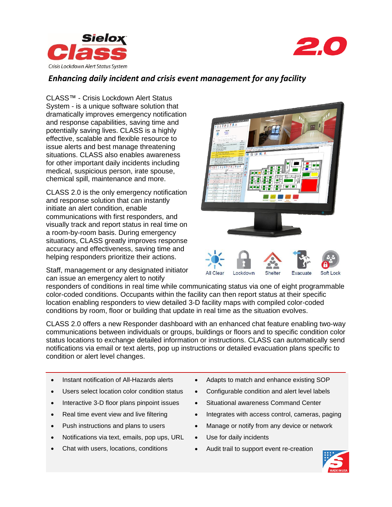



## *Enhancing daily incident and crisis event management for any facility*

CLASS™ - Crisis Lockdown Alert Status System - is a unique software solution that dramatically improves emergency notification and response capabilities, saving time and potentially saving lives. CLASS is a highly effective, scalable and flexible resource to issue alerts and best manage threatening situations. CLASS also enables awareness for other important daily incidents including medical, suspicious person, irate spouse, chemical spill, maintenance and more.

CLASS 2.0 is the only emergency notification and response solution that can instantly initiate an alert condition, enable communications with first responders, and visually track and report status in real time on a room-by-room basis. During emergency situations, CLASS greatly improves response accuracy and effectiveness, saving time and helping responders prioritize their actions.

Staff, management or any designated initiator can issue an emergency alert to notify



All Clear Lockdown **Evacuate** 

responders of conditions in real time while communicating status via one of eight programmable color-coded conditions. Occupants within the facility can then report status at their specific location enabling responders to view detailed 3-D facility maps with compiled color-coded conditions by room, floor or building that update in real time as the situation evolves.

CLASS 2.0 offers a new Responder dashboard with an enhanced chat feature enabling two-way communications between individuals or groups, buildings or floors and to specific condition color status locations to exchange detailed information or instructions. CLASS can automatically send notifications via email or text alerts, pop up instructions or detailed evacuation plans specific to condition or alert level changes.

- Instant notification of All-Hazards alerts
- Users select location color condition status
- Interactive 3-D floor plans pinpoint issues
- Real time event view and live filtering
- Push instructions and plans to users
- Notifications via text, emails, pop ups, URL
- Chat with users, locations, conditions
- Adapts to match and enhance existing SOP
- Configurable condition and alert level labels
- Situational awareness Command Center
- Integrates with access control, cameras, paging
- Manage or notify from any device or network
- Use for daily incidents
- Audit trail to support event re-creation